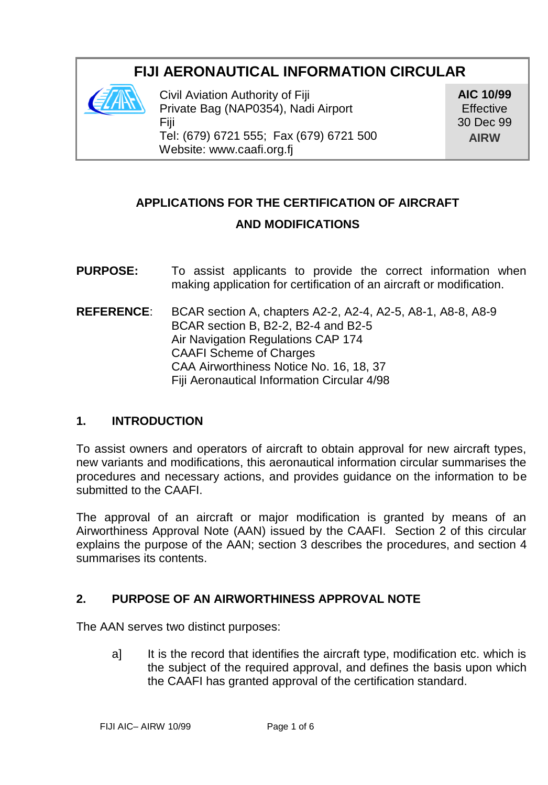# **FIJI AERONAUTICAL INFORMATION CIRCULAR**



Civil Aviation Authority of Fiji Private Bag (NAP0354), Nadi Airport Fiji Tel: (679) 6721 555; Fax (679) 6721 500 Website: www.caafi.org.fj

**AIC 10/99 Effective** 30 Dec 99 **AIRW**

# **APPLICATIONS FOR THE CERTIFICATION OF AIRCRAFT AND MODIFICATIONS**

**PURPOSE:** To assist applicants to provide the correct information when making application for certification of an aircraft or modification. **REFERENCE**: BCAR section A, chapters A2-2, A2-4, A2-5, A8-1, A8-8, A8-9 BCAR section B, B2-2, B2-4 and B2-5

Air Navigation Regulations CAP 174 CAAFI Scheme of Charges CAA Airworthiness Notice No. 16, 18, 37 Fiji Aeronautical Information Circular 4/98

### **1. INTRODUCTION**

To assist owners and operators of aircraft to obtain approval for new aircraft types, new variants and modifications, this aeronautical information circular summarises the procedures and necessary actions, and provides guidance on the information to be submitted to the CAAFI.

The approval of an aircraft or major modification is granted by means of an Airworthiness Approval Note (AAN) issued by the CAAFI. Section 2 of this circular explains the purpose of the AAN; section 3 describes the procedures, and section 4 summarises its contents.

## **2. PURPOSE OF AN AIRWORTHINESS APPROVAL NOTE**

The AAN serves two distinct purposes:

a] It is the record that identifies the aircraft type, modification etc. which is the subject of the required approval, and defines the basis upon which the CAAFI has granted approval of the certification standard.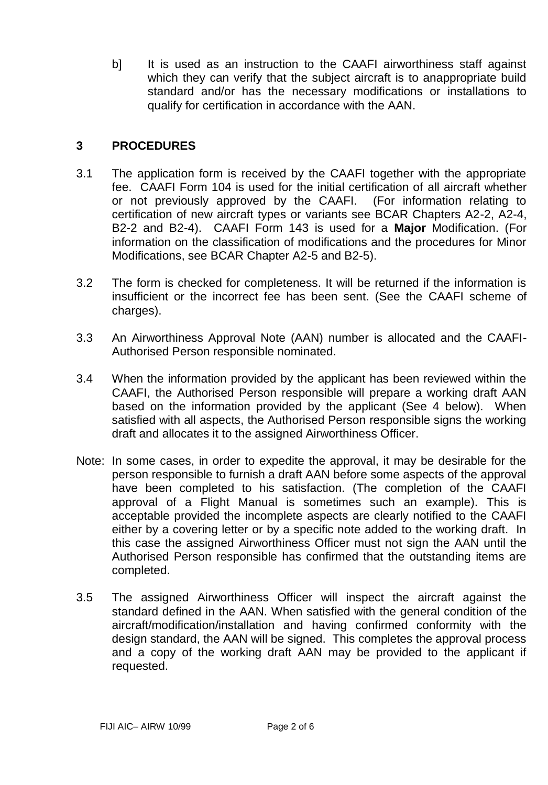b] It is used as an instruction to the CAAFI airworthiness staff against which they can verify that the subject aircraft is to anappropriate build standard and/or has the necessary modifications or installations to qualify for certification in accordance with the AAN.

#### **3 PROCEDURES**

- 3.1 The application form is received by the CAAFI together with the appropriate fee. CAAFI Form 104 is used for the initial certification of all aircraft whether or not previously approved by the CAAFI. (For information relating to certification of new aircraft types or variants see BCAR Chapters A2-2, A2-4, B2-2 and B2-4). CAAFI Form 143 is used for a **Major** Modification. (For information on the classification of modifications and the procedures for Minor Modifications, see BCAR Chapter A2-5 and B2-5).
- 3.2 The form is checked for completeness. It will be returned if the information is insufficient or the incorrect fee has been sent. (See the CAAFI scheme of charges).
- 3.3 An Airworthiness Approval Note (AAN) number is allocated and the CAAFI-Authorised Person responsible nominated.
- 3.4 When the information provided by the applicant has been reviewed within the CAAFI, the Authorised Person responsible will prepare a working draft AAN based on the information provided by the applicant (See 4 below). When satisfied with all aspects, the Authorised Person responsible signs the working draft and allocates it to the assigned Airworthiness Officer.
- Note: In some cases, in order to expedite the approval, it may be desirable for the person responsible to furnish a draft AAN before some aspects of the approval have been completed to his satisfaction. (The completion of the CAAFI approval of a Flight Manual is sometimes such an example). This is acceptable provided the incomplete aspects are clearly notified to the CAAFI either by a covering letter or by a specific note added to the working draft. In this case the assigned Airworthiness Officer must not sign the AAN until the Authorised Person responsible has confirmed that the outstanding items are completed.
- 3.5 The assigned Airworthiness Officer will inspect the aircraft against the standard defined in the AAN. When satisfied with the general condition of the aircraft/modification/installation and having confirmed conformity with the design standard, the AAN will be signed. This completes the approval process and a copy of the working draft AAN may be provided to the applicant if requested.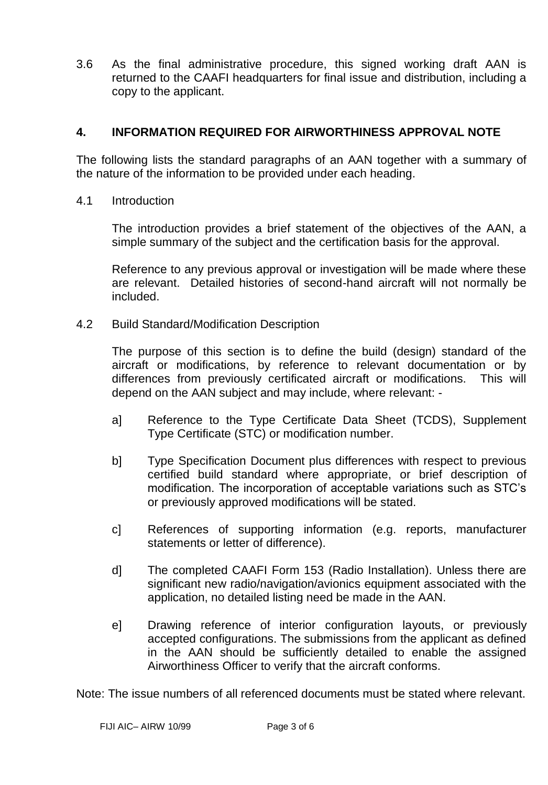3.6 As the final administrative procedure, this signed working draft AAN is returned to the CAAFI headquarters for final issue and distribution, including a copy to the applicant.

#### **4. INFORMATION REQUIRED FOR AIRWORTHINESS APPROVAL NOTE**

The following lists the standard paragraphs of an AAN together with a summary of the nature of the information to be provided under each heading.

4.1 Introduction

The introduction provides a brief statement of the objectives of the AAN, a simple summary of the subject and the certification basis for the approval.

Reference to any previous approval or investigation will be made where these are relevant. Detailed histories of second-hand aircraft will not normally be included.

4.2 Build Standard/Modification Description

The purpose of this section is to define the build (design) standard of the aircraft or modifications, by reference to relevant documentation or by differences from previously certificated aircraft or modifications. This will depend on the AAN subject and may include, where relevant: -

- a] Reference to the Type Certificate Data Sheet (TCDS), Supplement Type Certificate (STC) or modification number.
- b] Type Specification Document plus differences with respect to previous certified build standard where appropriate, or brief description of modification. The incorporation of acceptable variations such as STC's or previously approved modifications will be stated.
- c] References of supporting information (e.g. reports, manufacturer statements or letter of difference).
- d] The completed CAAFI Form 153 (Radio Installation). Unless there are significant new radio/navigation/avionics equipment associated with the application, no detailed listing need be made in the AAN.
- e] Drawing reference of interior configuration layouts, or previously accepted configurations. The submissions from the applicant as defined in the AAN should be sufficiently detailed to enable the assigned Airworthiness Officer to verify that the aircraft conforms.

Note: The issue numbers of all referenced documents must be stated where relevant.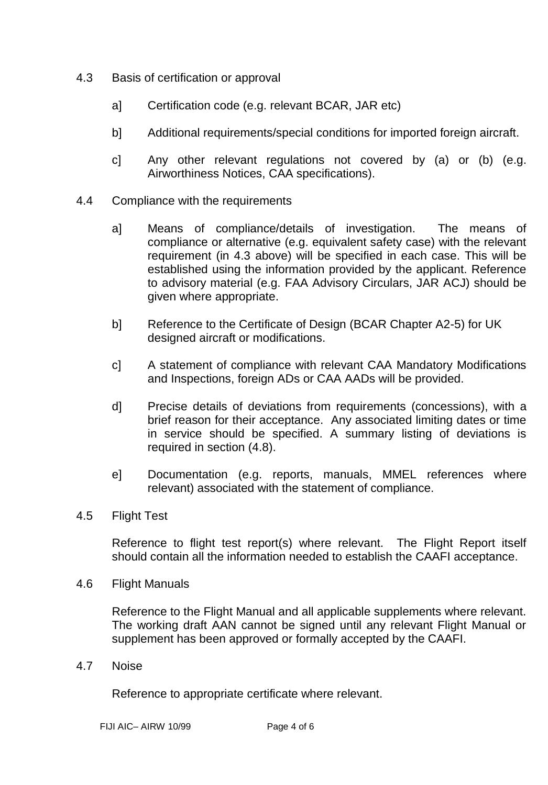- 4.3 Basis of certification or approval
	- a] Certification code (e.g. relevant BCAR, JAR etc)
	- b] Additional requirements/special conditions for imported foreign aircraft.
	- c] Any other relevant regulations not covered by (a) or (b) (e.g. Airworthiness Notices, CAA specifications).
- 4.4 Compliance with the requirements
	- a] Means of compliance/details of investigation. The means of compliance or alternative (e.g. equivalent safety case) with the relevant requirement (in 4.3 above) will be specified in each case. This will be established using the information provided by the applicant. Reference to advisory material (e.g. FAA Advisory Circulars, JAR ACJ) should be given where appropriate.
	- b] Reference to the Certificate of Design (BCAR Chapter A2-5) for UK designed aircraft or modifications.
	- c] A statement of compliance with relevant CAA Mandatory Modifications and Inspections, foreign ADs or CAA AADs will be provided.
	- d] Precise details of deviations from requirements (concessions), with a brief reason for their acceptance. Any associated limiting dates or time in service should be specified. A summary listing of deviations is required in section (4.8).
	- e] Documentation (e.g. reports, manuals, MMEL references where relevant) associated with the statement of compliance.
- 4.5 Flight Test

Reference to flight test report(s) where relevant. The Flight Report itself should contain all the information needed to establish the CAAFI acceptance.

4.6 Flight Manuals

Reference to the Flight Manual and all applicable supplements where relevant. The working draft AAN cannot be signed until any relevant Flight Manual or supplement has been approved or formally accepted by the CAAFI.

4.7 Noise

Reference to appropriate certificate where relevant.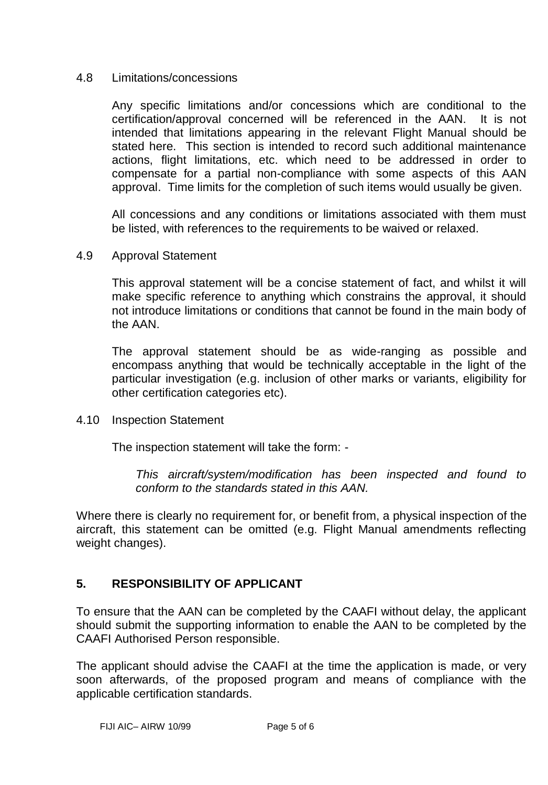#### 4.8 Limitations/concessions

Any specific limitations and/or concessions which are conditional to the certification/approval concerned will be referenced in the AAN. It is not intended that limitations appearing in the relevant Flight Manual should be stated here. This section is intended to record such additional maintenance actions, flight limitations, etc. which need to be addressed in order to compensate for a partial non-compliance with some aspects of this AAN approval. Time limits for the completion of such items would usually be given.

All concessions and any conditions or limitations associated with them must be listed, with references to the requirements to be waived or relaxed.

4.9 Approval Statement

This approval statement will be a concise statement of fact, and whilst it will make specific reference to anything which constrains the approval, it should not introduce limitations or conditions that cannot be found in the main body of the AAN.

The approval statement should be as wide-ranging as possible and encompass anything that would be technically acceptable in the light of the particular investigation (e.g. inclusion of other marks or variants, eligibility for other certification categories etc).

4.10 Inspection Statement

The inspection statement will take the form: -

*This aircraft/system/modification has been inspected and found to conform to the standards stated in this AAN.*

Where there is clearly no requirement for, or benefit from, a physical inspection of the aircraft, this statement can be omitted (e.g. Flight Manual amendments reflecting weight changes).

## **5. RESPONSIBILITY OF APPLICANT**

To ensure that the AAN can be completed by the CAAFI without delay, the applicant should submit the supporting information to enable the AAN to be completed by the CAAFI Authorised Person responsible.

The applicant should advise the CAAFI at the time the application is made, or very soon afterwards, of the proposed program and means of compliance with the applicable certification standards.